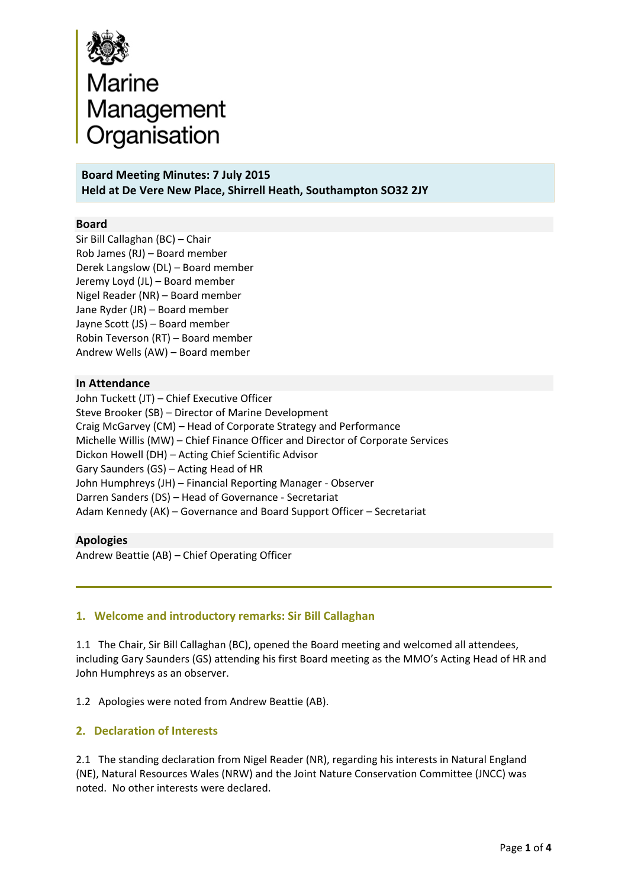

**Board Meeting Minutes: 7 July 2015 Held at De Vere New Place, Shirrell Heath, Southampton SO32 2JY** 

#### **Board**

Sir Bill Callaghan (BC) – Chair Rob James (RJ) – Board member Derek Langslow (DL) – Board member Jeremy Loyd (JL) – Board member Nigel Reader (NR) – Board member Jane Ryder (JR) – Board member Jayne Scott (JS) – Board member Robin Teverson (RT) – Board member Andrew Wells (AW) – Board member

#### **In Attendance**

John Tuckett (JT) – Chief Executive Officer Steve Brooker (SB) – Director of Marine Development Craig McGarvey (CM) – Head of Corporate Strategy and Performance Michelle Willis (MW) – Chief Finance Officer and Director of Corporate Services Dickon Howell (DH) – Acting Chief Scientific Advisor Gary Saunders (GS) – Acting Head of HR John Humphreys (JH) – Financial Reporting Manager ‐ Observer Darren Sanders (DS) – Head of Governance ‐ Secretariat Adam Kennedy (AK) – Governance and Board Support Officer – Secretariat

#### **Apologies**

Andrew Beattie (AB) – Chief Operating Officer

### **1. Welcome and introductory remarks: Sir Bill Callaghan**

1.1 The Chair, Sir Bill Callaghan (BC), opened the Board meeting and welcomed all attendees, including Gary Saunders (GS) attending his first Board meeting as the MMO's Acting Head of HR and John Humphreys as an observer.

1.2 Apologies were noted from Andrew Beattie (AB).

### **2. Declaration of Interests**

2.1 The standing declaration from Nigel Reader (NR), regarding his interests in Natural England (NE), Natural Resources Wales (NRW) and the Joint Nature Conservation Committee (JNCC) was noted. No other interests were declared.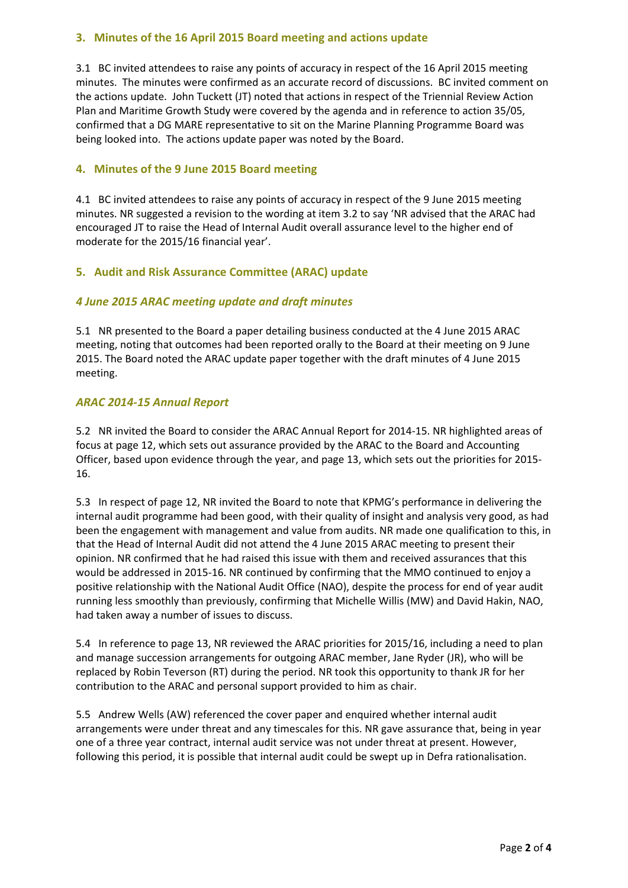## **3. Minutes of the 16 April 2015 Board meeting and actions update**

3.1 BC invited attendees to raise any points of accuracy in respect of the 16 April 2015 meeting minutes. The minutes were confirmed as an accurate record of discussions. BC invited comment on the actions update. John Tuckett (JT) noted that actions in respect of the Triennial Review Action Plan and Maritime Growth Study were covered by the agenda and in reference to action 35/05, confirmed that a DG MARE representative to sit on the Marine Planning Programme Board was being looked into. The actions update paper was noted by the Board.

## **4. Minutes of the 9 June 2015 Board meeting**

4.1 BC invited attendees to raise any points of accuracy in respect of the 9 June 2015 meeting minutes. NR suggested a revision to the wording at item 3.2 to say 'NR advised that the ARAC had encouraged JT to raise the Head of Internal Audit overall assurance level to the higher end of moderate for the 2015/16 financial year'.

## **5. Audit and Risk Assurance Committee (ARAC) update**

## *4 June 2015 ARAC meeting update and draft minutes*

5.1 NR presented to the Board a paper detailing business conducted at the 4 June 2015 ARAC meeting, noting that outcomes had been reported orally to the Board at their meeting on 9 June 2015. The Board noted the ARAC update paper together with the draft minutes of 4 June 2015 meeting.

### *ARAC 2014‐15 Annual Report*

5.2 NR invited the Board to consider the ARAC Annual Report for 2014‐15. NR highlighted areas of focus at page 12, which sets out assurance provided by the ARAC to the Board and Accounting Officer, based upon evidence through the year, and page 13, which sets out the priorities for 2015‐ 16.

5.3 In respect of page 12, NR invited the Board to note that KPMG's performance in delivering the internal audit programme had been good, with their quality of insight and analysis very good, as had been the engagement with management and value from audits. NR made one qualification to this, in that the Head of Internal Audit did not attend the 4 June 2015 ARAC meeting to present their opinion. NR confirmed that he had raised this issue with them and received assurances that this would be addressed in 2015‐16. NR continued by confirming that the MMO continued to enjoy a positive relationship with the National Audit Office (NAO), despite the process for end of year audit running less smoothly than previously, confirming that Michelle Willis (MW) and David Hakin, NAO, had taken away a number of issues to discuss.

5.4 In reference to page 13, NR reviewed the ARAC priorities for 2015/16, including a need to plan and manage succession arrangements for outgoing ARAC member, Jane Ryder (JR), who will be replaced by Robin Teverson (RT) during the period. NR took this opportunity to thank JR for her contribution to the ARAC and personal support provided to him as chair.

5.5 Andrew Wells (AW) referenced the cover paper and enquired whether internal audit arrangements were under threat and any timescales for this. NR gave assurance that, being in year one of a three year contract, internal audit service was not under threat at present. However, following this period, it is possible that internal audit could be swept up in Defra rationalisation.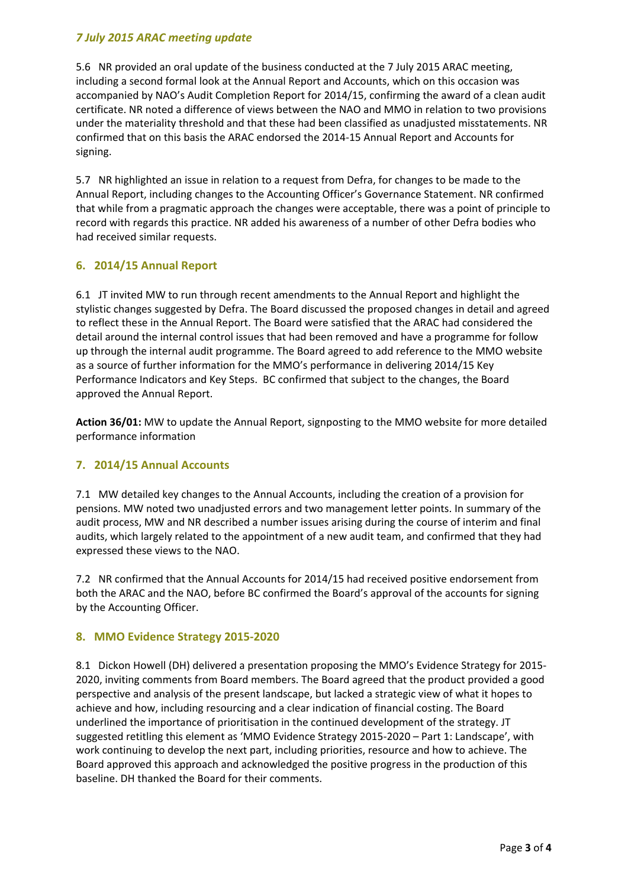# *7 July 2015 ARAC meeting update*

5.6 NR provided an oral update of the business conducted at the 7 July 2015 ARAC meeting, including a second formal look at the Annual Report and Accounts, which on this occasion was accompanied by NAO's Audit Completion Report for 2014/15, confirming the award of a clean audit certificate. NR noted a difference of views between the NAO and MMO in relation to two provisions under the materiality threshold and that these had been classified as unadjusted misstatements. NR confirmed that on this basis the ARAC endorsed the 2014‐15 Annual Report and Accounts for signing.

5.7 NR highlighted an issue in relation to a request from Defra, for changes to be made to the Annual Report, including changes to the Accounting Officer's Governance Statement. NR confirmed that while from a pragmatic approach the changes were acceptable, there was a point of principle to record with regards this practice. NR added his awareness of a number of other Defra bodies who had received similar requests.

## **6. 2014/15 Annual Report**

6.1 JT invited MW to run through recent amendments to the Annual Report and highlight the stylistic changes suggested by Defra. The Board discussed the proposed changes in detail and agreed to reflect these in the Annual Report. The Board were satisfied that the ARAC had considered the detail around the internal control issues that had been removed and have a programme for follow up through the internal audit programme. The Board agreed to add reference to the MMO website as a source of further information for the MMO's performance in delivering 2014/15 Key Performance Indicators and Key Steps. BC confirmed that subject to the changes, the Board approved the Annual Report.

**Action 36/01:** MW to update the Annual Report, signposting to the MMO website for more detailed performance information

### **7. 2014/15 Annual Accounts**

7.1 MW detailed key changes to the Annual Accounts, including the creation of a provision for pensions. MW noted two unadjusted errors and two management letter points. In summary of the audit process, MW and NR described a number issues arising during the course of interim and final audits, which largely related to the appointment of a new audit team, and confirmed that they had expressed these views to the NAO.

7.2 NR confirmed that the Annual Accounts for 2014/15 had received positive endorsement from both the ARAC and the NAO, before BC confirmed the Board's approval of the accounts for signing by the Accounting Officer.

### **8. MMO Evidence Strategy 2015‐2020**

8.1 Dickon Howell (DH) delivered a presentation proposing the MMO's Evidence Strategy for 2015– 2020, inviting comments from Board members. The Board agreed that the product provided a good perspective and analysis of the present landscape, but lacked a strategic view of what it hopes to achieve and how, including resourcing and a clear indication of financial costing. The Board underlined the importance of prioritisation in the continued development of the strategy. JT suggested retitling this element as 'MMO Evidence Strategy 2015-2020 – Part 1: Landscape', with work continuing to develop the next part, including priorities, resource and how to achieve. The Board approved this approach and acknowledged the positive progress in the production of this baseline. DH thanked the Board for their comments.